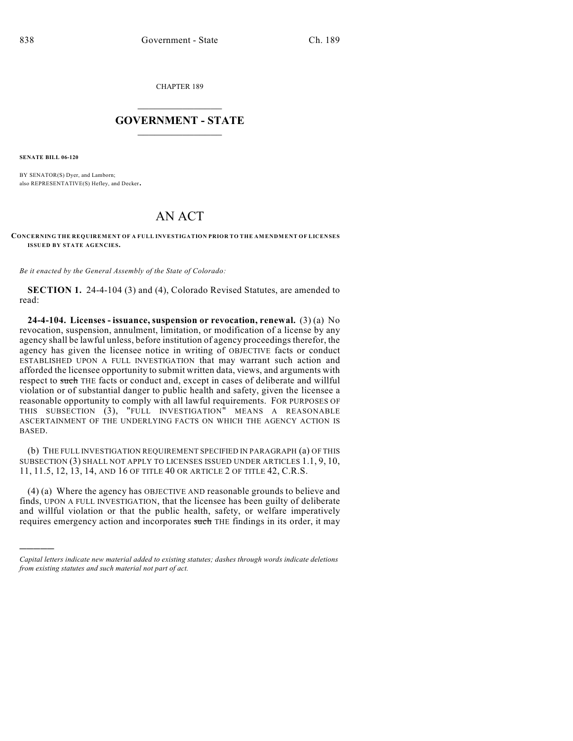CHAPTER 189

## $\mathcal{L}_\text{max}$  . The set of the set of the set of the set of the set of the set of the set of the set of the set of the set of the set of the set of the set of the set of the set of the set of the set of the set of the set **GOVERNMENT - STATE**  $\_$   $\_$   $\_$   $\_$   $\_$   $\_$   $\_$   $\_$   $\_$

**SENATE BILL 06-120**

)))))

BY SENATOR(S) Dyer, and Lamborn; also REPRESENTATIVE(S) Hefley, and Decker.

## AN ACT

## **CONCERNING THE REQUIREMENT OF A FULL INVESTIGATION PRIOR TO THE AMENDMENT OF LICENSES ISSUED BY STATE AGENCIES.**

*Be it enacted by the General Assembly of the State of Colorado:*

**SECTION 1.** 24-4-104 (3) and (4), Colorado Revised Statutes, are amended to read:

**24-4-104. Licenses - issuance, suspension or revocation, renewal.** (3) (a) No revocation, suspension, annulment, limitation, or modification of a license by any agency shall be lawful unless, before institution of agency proceedings therefor, the agency has given the licensee notice in writing of OBJECTIVE facts or conduct ESTABLISHED UPON A FULL INVESTIGATION that may warrant such action and afforded the licensee opportunity to submit written data, views, and arguments with respect to such THE facts or conduct and, except in cases of deliberate and willful violation or of substantial danger to public health and safety, given the licensee a reasonable opportunity to comply with all lawful requirements. FOR PURPOSES OF THIS SUBSECTION (3), "FULL INVESTIGATION" MEANS A REASONABLE ASCERTAINMENT OF THE UNDERLYING FACTS ON WHICH THE AGENCY ACTION IS BASED.

(b) THE FULL INVESTIGATION REQUIREMENT SPECIFIED IN PARAGRAPH (a) OF THIS SUBSECTION (3) SHALL NOT APPLY TO LICENSES ISSUED UNDER ARTICLES 1.1, 9, 10, 11, 11.5, 12, 13, 14, AND 16 OF TITLE 40 OR ARTICLE 2 OF TITLE 42, C.R.S.

(4) (a) Where the agency has OBJECTIVE AND reasonable grounds to believe and finds, UPON A FULL INVESTIGATION, that the licensee has been guilty of deliberate and willful violation or that the public health, safety, or welfare imperatively requires emergency action and incorporates such THE findings in its order, it may

*Capital letters indicate new material added to existing statutes; dashes through words indicate deletions from existing statutes and such material not part of act.*